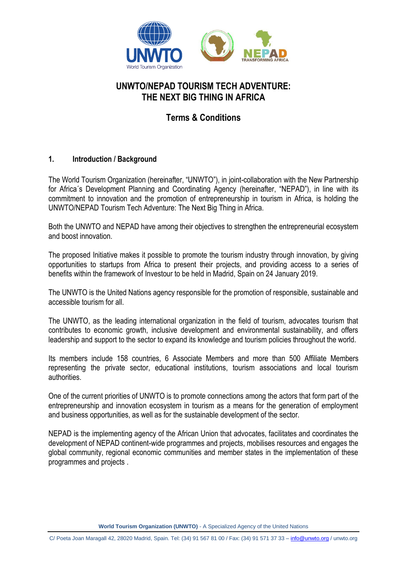

# **UNWTO/NEPAD TOURISM TECH ADVENTURE: THE NEXT BIG THING IN AFRICA**

# **Terms & Conditions**

### **1. Introduction / Background**

The World Tourism Organization (hereinafter, "UNWTO"), in joint-collaboration with the New Partnership for Africa´s Development Planning and Coordinating Agency (hereinafter, "NEPAD"), in line with its commitment to innovation and the promotion of entrepreneurship in tourism in Africa, is holding the UNWTO/NEPAD Tourism Tech Adventure: The Next Big Thing in Africa.

Both the UNWTO and NEPAD have among their objectives to strengthen the entrepreneurial ecosystem and boost innovation.

The proposed Initiative makes it possible to promote the tourism industry through innovation, by giving opportunities to startups from Africa to present their projects, and providing access to a series of benefits within the framework of Investour to be held in Madrid, Spain on 24 January 2019.

The UNWTO is the United Nations agency responsible for the promotion of responsible, sustainable and accessible tourism for all.

The UNWTO, as the leading international organization in the field of tourism, advocates tourism that contributes to economic growth, inclusive development and environmental sustainability, and offers leadership and support to the sector to expand its knowledge and tourism policies throughout the world.

Its members include [158 countries, 6](http://media.unwto.org/es/members/states) Associate Members and more than [500](http://affiliatemembers.unwto.org/es/affiliate-members-directory) Affiliate Members representing the private sector, educational institutions, tourism associations and local tourism authorities.

One of the current priorities of UNWTO is to promote connections among the actors that form part of the entrepreneurship and innovation ecosystem in tourism as a means for the generation of employment and business opportunities, as well as for the sustainable development of the sector.

NEPAD is the implementing agency of the African Union that advocates, facilitates and coordinates the development of NEPAD continent-wide programmes and projects, mobilises resources and engages the global community, regional economic communities and member states in the implementation of these programmes and projects .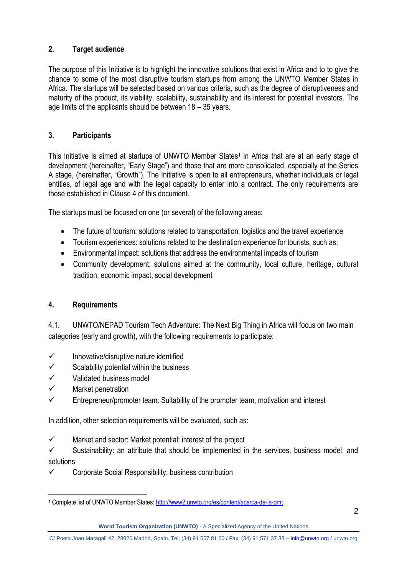## **2. Target audience**

The purpose of this Initiative is to highlight the innovative solutions that exist in Africa and to to give the chance to some of the most disruptive tourism startups from among the UNWTO Member States in Africa. The startups will be selected based on various criteria, such as the degree of disruptiveness and maturity of the product, its viability, scalability, sustainability and its interest for potential investors. The age limits of the applicants should be between 18 – 35 years.

## **3. Participants**

This Initiative is aimed at startups of UNWTO Member States<sup>1</sup> in Africa that are at an early stage of development (hereinafter, "Early Stage") and those that are more consolidated, especially at the Series A stage, (hereinafter, "Growth"). The Initiative is open to all entrepreneurs, whether individuals or legal entities, of legal age and with the legal capacity to enter into a contract. The only requirements are those established in Clause 4 of this document.

The startups must be focused on one (or several) of the following areas:

- The future of tourism: solutions related to transportation, logistics and the travel experience
- Tourism experiences: solutions related to the destination experience for tourists, such as:
- Environmental impact: solutions that address the environmental impacts of tourism
- Community development: solutions aimed at the community, local culture, heritage, cultural tradition, economic impact, social development

## **4. Requirements**

4.1. UNWTO/NEPAD Tourism Tech Adventure: The Next Big Thing in Africa will focus on two main categories (early and growth), with the following requirements to participate:

- $\checkmark$  Innovative/disruptive nature identified
- $\checkmark$  Scalability potential within the business
- $\checkmark$  Validated business model
- $\checkmark$  Market penetration
- Entrepreneur/promoter team: Suitability of the promoter team, motivation and interest

In addition, other selection requirements will be evaluated, such as:

 $\checkmark$  Market and sector: Market potential; interest of the project

 $\checkmark$  Sustainability: an attribute that should be implemented in the services, business model, and solutions

 $\checkmark$  Corporate Social Responsibility: business contribution

 $\overline{a}$ <sup>1</sup> Complete list of UNWTO Member States:<http://www2.unwto.org/es/content/acerca-de-la-omt>

**World Tourism Organization (UNWTO)** - A Specialized Agency of the United Nations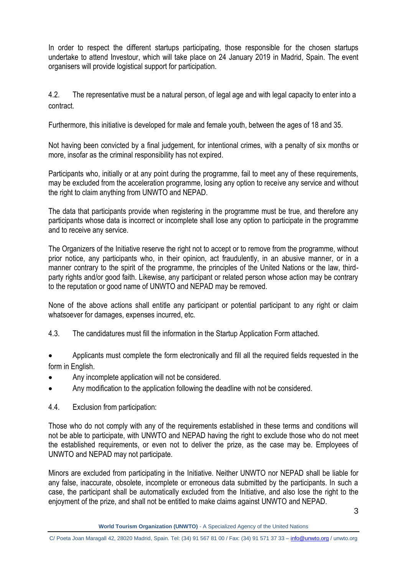In order to respect the different startups participating, those responsible for the chosen startups undertake to attend Investour, which will take place on 24 January 2019 in Madrid, Spain. The event organisers will provide logistical support for participation.

4.2. The representative must be a natural person, of legal age and with legal capacity to enter into a contract.

Furthermore, this initiative is developed for male and female youth, between the ages of 18 and 35.

Not having been convicted by a final judgement, for intentional crimes, with a penalty of six months or more, insofar as the criminal responsibility has not expired.

Participants who, initially or at any point during the programme, fail to meet any of these requirements, may be excluded from the acceleration programme, losing any option to receive any service and without the right to claim anything from UNWTO and NEPAD.

The data that participants provide when registering in the programme must be true, and therefore any participants whose data is incorrect or incomplete shall lose any option to participate in the programme and to receive any service.

The Organizers of the Initiative reserve the right not to accept or to remove from the programme, without prior notice, any participants who, in their opinion, act fraudulently, in an abusive manner, or in a manner contrary to the spirit of the programme, the principles of the United Nations or the law, thirdparty rights and/or good faith. Likewise, any participant or related person whose action may be contrary to the reputation or good name of UNWTO and NEPAD may be removed.

None of the above actions shall entitle any participant or potential participant to any right or claim whatsoever for damages, expenses incurred, etc.

- 4.3. The candidatures must fill the information in the Startup Application Form attached.
- Applicants must complete the form electronically and fill all the required fields requested in the form in English.
- Any incomplete application will not be considered.
- Any modification to the application following the deadline with not be considered.
- 4.4. Exclusion from participation:

Those who do not comply with any of the requirements established in these terms and conditions will not be able to participate, with UNWTO and NEPAD having the right to exclude those who do not meet the established requirements, or even not to deliver the prize, as the case may be. Employees of UNWTO and NEPAD may not participate.

Minors are excluded from participating in the Initiative. Neither UNWTO nor NEPAD shall be liable for any false, inaccurate, obsolete, incomplete or erroneous data submitted by the participants. In such a case, the participant shall be automatically excluded from the Initiative, and also lose the right to the enjoyment of the prize, and shall not be entitled to make claims against UNWTO and NEPAD.

C/ Poeta Joan Maragall 42, 28020 Madrid, Spain. Tel: (34) 91 567 81 00 / Fax: (34) 91 571 37 33 – [info@unwto.org](mailto:info@unwto.org) / unwto.org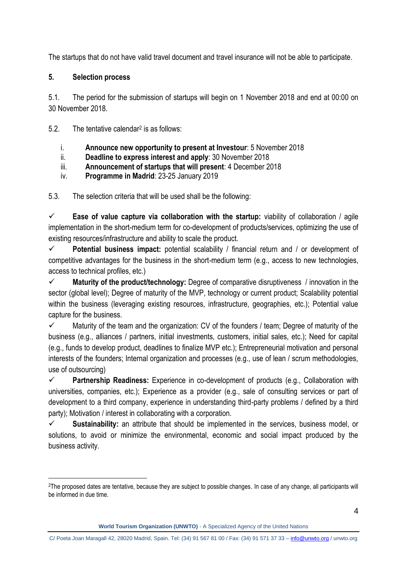The startups that do not have valid travel document and travel insurance will not be able to participate.

### **5. Selection process**

 $\overline{a}$ 

5.1. The period for the submission of startups will begin on 1 November 2018 and end at 00:00 on 30 November 2018.

5.2. The tentative calendar<sup>2</sup> is as follows:

- i. **Announce new opportunity to present at Investour**: 5 November 2018
- ii. **Deadline to express interest and apply**: 30 November 2018
- iii. **Announcement of startups that will present**: 4 December 2018
- iv. **Programme in Madrid**: 23-25 January 2019

5.3. The selection criteria that will be used shall be the following:

 **Ease of value capture via collaboration with the startup:** viability of collaboration / agile implementation in the short-medium term for co-development of products/services, optimizing the use of existing resources/infrastructure and ability to scale the product.

 **Potential business impact:** potential scalability / financial return and / or development of competitive advantages for the business in the short-medium term (e.g., access to new technologies, access to technical profiles, etc.)

 **Maturity of the product/technology:** Degree of comparative disruptiveness / innovation in the sector (global level); Degree of maturity of the MVP, technology or current product; Scalability potential within the business (leveraging existing resources, infrastructure, geographies, etc.); Potential value capture for the business.

 $\checkmark$  Maturity of the team and the organization: CV of the founders / team; Degree of maturity of the business (e.g., alliances / partners, initial investments, customers, initial sales, etc.); Need for capital (e.g., funds to develop product, deadlines to finalize MVP etc.); Entrepreneurial motivation and personal interests of the founders; Internal organization and processes (e.g., use of lean / scrum methodologies, use of outsourcing)

 **Partnership Readiness:** Experience in co-development of products (e.g., Collaboration with universities, companies, etc.); Experience as a provider (e.g., sale of consulting services or part of development to a third company, experience in understanding third-party problems / defined by a third party); Motivation / interest in collaborating with a corporation.

 **Sustainability:** an attribute that should be implemented in the services, business model, or solutions, to avoid or minimize the environmental, economic and social impact produced by the business activity.

<sup>&</sup>lt;sup>2</sup>The proposed dates are tentative, because they are subject to possible changes. In case of any change, all participants will be informed in due time.

**World Tourism Organization (UNWTO)** - A Specialized Agency of the United Nations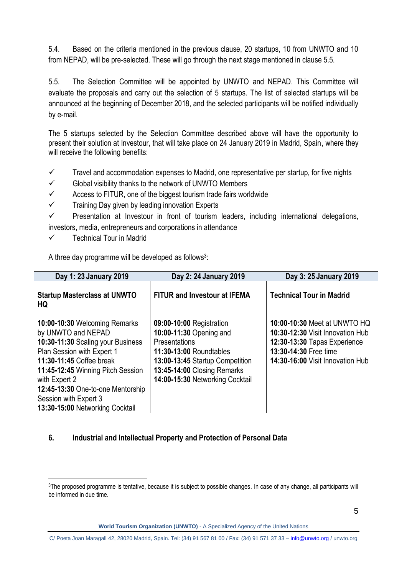5.4. Based on the criteria mentioned in the previous clause, 20 startups, 10 from UNWTO and 10 from NEPAD, will be pre-selected. These will go through the next stage mentioned in clause 5.5.

5.5. The Selection Committee will be appointed by UNWTO and NEPAD. This Committee will evaluate the proposals and carry out the selection of 5 startups. The list of selected startups will be announced at the beginning of December 2018, and the selected participants will be notified individually by e-mail.

The 5 startups selected by the Selection Committee described above will have the opportunity to present their solution at Investour, that will take place on 24 January 2019 in Madrid, Spain, where they will receive the following benefits:

- $\checkmark$  Travel and accommodation expenses to Madrid, one representative per startup, for five nights
- $\checkmark$  Global visibility thanks to the network of UNWTO Members
- $\checkmark$  Access to FITUR, one of the biggest tourism trade fairs worldwide
- $\checkmark$  Training Day given by leading innovation Experts

 $\checkmark$  Presentation at Investour in front of tourism leaders, including international delegations, investors, media, entrepreneurs and corporations in attendance

 $\checkmark$  Technical Tour in Madrid

 $\overline{a}$ 

A three day programme will be developed as follows<sup>3</sup>:

| Day 1: 23 January 2019                                                                                                                                                                                                                                                                                    | Day 2: 24 January 2019                                                                                                                                                                               | Day 3: 25 January 2019                                                                                                                                        |
|-----------------------------------------------------------------------------------------------------------------------------------------------------------------------------------------------------------------------------------------------------------------------------------------------------------|------------------------------------------------------------------------------------------------------------------------------------------------------------------------------------------------------|---------------------------------------------------------------------------------------------------------------------------------------------------------------|
| <b>Startup Masterclass at UNWTO</b><br>HQ                                                                                                                                                                                                                                                                 | <b>FITUR and Investour at IFEMA</b>                                                                                                                                                                  | <b>Technical Tour in Madrid</b>                                                                                                                               |
| 10:00-10:30 Welcoming Remarks<br>by UNWTO and NEPAD<br>10:30-11:30 Scaling your Business<br>Plan Session with Expert 1<br>11:30-11:45 Coffee break<br>11:45-12:45 Winning Pitch Session<br>with Expert 2<br>12:45-13:30 One-to-one Mentorship<br>Session with Expert 3<br>13:30-15:00 Networking Cocktail | 09:00-10:00 Registration<br>10:00-11:30 Opening and<br>Presentations<br>11:30-13:00 Roundtables<br>13:00-13:45 Startup Competition<br>13:45-14:00 Closing Remarks<br>14:00-15:30 Networking Cocktail | 10:00-10:30 Meet at UNWTO HQ<br>10:30-12:30 Visit Innovation Hub<br>12:30-13:30 Tapas Experience<br>13:30-14:30 Free time<br>14:30-16:00 Visit Innovation Hub |

## **6. Industrial and Intellectual Property and Protection of Personal Data**

<sup>&</sup>lt;sup>3</sup>The proposed programme is tentative, because it is subject to possible changes. In case of any change, all participants will be informed in due time.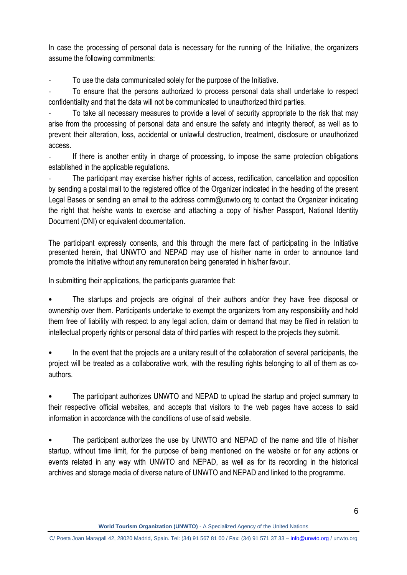In case the processing of personal data is necessary for the running of the Initiative, the organizers assume the following commitments:

To use the data communicated solely for the purpose of the Initiative.

- To ensure that the persons authorized to process personal data shall undertake to respect confidentiality and that the data will not be communicated to unauthorized third parties.

- To take all necessary measures to provide a level of security appropriate to the risk that may arise from the processing of personal data and ensure the safety and integrity thereof, as well as to prevent their alteration, loss, accidental or unlawful destruction, treatment, disclosure or unauthorized access.

If there is another entity in charge of processing, to impose the same protection obligations established in the applicable regulations.

The participant may exercise his/her rights of access, rectification, cancellation and opposition by sending a postal mail to the registered office of the Organizer indicated in the heading of the present Legal Bases or sending an email to the address comm@unwto.org to contact the Organizer indicating the right that he/she wants to exercise and attaching a copy of his/her Passport, National Identity Document (DNI) or equivalent documentation.

The participant expressly consents, and this through the mere fact of participating in the Initiative presented herein, that UNWTO and NEPAD may use of his/her name in order to announce tand promote the Initiative without any remuneration being generated in his/her favour.

In submitting their applications, the participants guarantee that:

• The startups and projects are original of their authors and/or they have free disposal or ownership over them. Participants undertake to exempt the organizers from any responsibility and hold them free of liability with respect to any legal action, claim or demand that may be filed in relation to intellectual property rights or personal data of third parties with respect to the projects they submit.

In the event that the projects are a unitary result of the collaboration of several participants, the project will be treated as a collaborative work, with the resulting rights belonging to all of them as coauthors.

• The participant authorizes UNWTO and NEPAD to upload the startup and project summary to their respective official websites, and accepts that visitors to the web pages have access to said information in accordance with the conditions of use of said website.

The participant authorizes the use by UNWTO and NEPAD of the name and title of his/her startup, without time limit, for the purpose of being mentioned on the website or for any actions or events related in any way with UNWTO and NEPAD, as well as for its recording in the historical archives and storage media of diverse nature of UNWTO and NEPAD and linked to the programme.